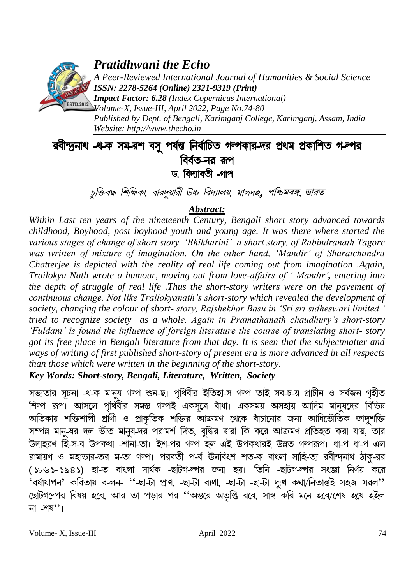

*Pratidhwani the Echo*

*A Peer-Reviewed International Journal of Humanities & Social Science ISSN: 2278-5264 (Online) 2321-9319 (Print)*

*Impact Factor: 6.28 (Index Copernicus International) Volume-X, Issue-III, April 2022, Page No.74-80 Published by Dept. of Bengali, Karimganj College, Karimganj, Assam, India Website: [http://www.thecho.in](http://www.thecho.in/)*

# ববীন্দ্ৰনাথ -থ-ক সম-রশ বসু পর্যন্ত নির্বাচিত গন্পকার-দর প্রথম প্রকাশিত গ-ল্পর বির্বত-নৱ রূপ ড. বিদ্যাবতী -গাপ

চুক্তিবদ্ধ শিক্ষিকা, বারদুয়ারী উচ্চ বিদ্যালয়, মালদহ, পশ্চিমবঙ্গ, ভারত

# *Abstract:*

*Within Last ten years of the nineteenth Century, Bengali short story advanced towards childhood, Boyhood, post boyhood youth and young age. It was there where started the various stages of change of short story. 'Bhikharini' a short story, of Rabindranath Tagore*  was written of mixture of imagination. On the other hand, 'Mandir' of Sharatchandra *Chatterjee is depicted with the reality of real life coming out from imagination .Again, Trailokya Nath wrote a humour, moving out from love-affairs of ' Mandir', entering into the depth of struggle of real life .Thus the short-story writers were on the pavement of continuous change. Not like Trailokyanath's short-story which revealed the development of society, changing the colour of short- story, Rajshekhar Basu in 'Sri sri sidheswari limited ' tried to recognize society as a whole. Again in Pramathanath chaudhury's short-story 'Fuldani' is found the influence of foreign literature the course of translating short- story got its free place in Bengali literature from that day. It is seen that the subjectmatter and ways of writing of first published short-story of present era is more advanced in all respects than those which were written in the beginning of the short-story.*

*Key Words: Short-story, Bengali, Literature, Written, Society*

সভ্যতার সূচনা -থ-ক মানুষ গল্প শুন-ছ। পৃথিবীর ইতিহা-স গল্প তাই সব-চ-য় প্রাচীন ও সর্বজন গৃহীত <u>শিল্প রূপ। আসলে পৃথিবীর সমস্ত গল্পই একসত্রে বাঁধা। একসময় অসহায় আদিম মানষদের বিভিন্ন</u> অতিকায় শক্তিশালী প্রাণী ও প্রাকৃতিক শক্তির আক্রমণ থেকে বাঁচানোর জন্য আধিভৌতিক জাদুশক্তি সম্পন্ন মানু-ষর দল ভীত মানুষ-দর পরামর্শ দিত, বুদ্ধির দ্বারা কি করে আক্রমণ প্রতিহত করা যায়, তার উদাহরণ হি-স-ব উপকথা -শানা-তা। ইশ-পর গল্প হল এই উপকথারই উন্নত গল্পরূপ। ধা-প ধা-প এল রামায়ণ ও মহাভার-তর ম-তা গল্প। পরবর্তী প-র্ব ঊনবিংশ শত-ক বাংলা সাহি-ত্য রবীন্দুনাথ ঠাক-রর (১৮৬১-১৯৪১) হা-ত বাংলা সার্থক -ছাটগ-ল্পর জন্ম হয়। তিনি -ছাটগ-ল্পর সংজ্ঞা নির্ণয় করে 'বৰ্ষাযাপন' কবিতায় ব-লন- ''-ছা-টা প্ৰাণ, -ছা-টা ব্যথা, -ছা-টা -ছা-টা দু:খ কথা/নিতান্তই সহজ সরল'' ছোটগল্পের বিষয় হবে, আর তা পড়ার পর ''অন্তরে অতৃপ্তি রবে, সাঙ্গ করি মনে হবে/শেষ হয়ে হইল না -শয''।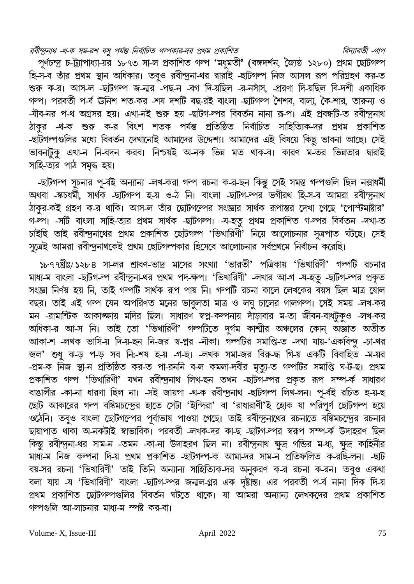রবীন্দ্রনাথ -থ-ক সম-রশ বসু পর্যন্ত নির্বাচিত গল্পকার-দর প্রথম প্রকাশিত

বিদ্যাবতী -গাপ পূর্ণচন্দু চ-ট্যাপাধ্যা-য়র ১৮৭৩ সা-ল প্রকাশিত গল্প 'মধুমতী' (বঙ্গদর্শন, জৈষ্ঠ ১২৮০) প্রথম ছোটগল্প হি-স-ব তাঁর প্রথম স্থান অধিকার। তবুও রবীন্দ্রনা-থর দ্বারাই -ছাটগল্প নিজ আসল রূপ পরিগ্রহণ কর-ত শুরু ক-র। আস-ল -ছাটগল্প জ-নার -পছ-ন -বগ দি-য়ছিল -র-নসাঁস, -প্ররণা দি-য়ছিল বি-দশী একাধিক গল্প। পরবর্তী প-র্ব ঊনিশ শত-কর -শষ দশটি বছ-রই বাংলা -ছাটগল্প শৈশব, বাল্য, কৈ-শার, তারুন্য ও -যীব-নর প-থ অগ্রসর হয়। এখা-নই শুরু হয় -ছাটগ-ল্পর বিবর্তন নানা রূ-প। এই প্রবন্ধটি-ত রবীন্দুনাথ ঠাকুর -থ-ক শুরু ক-র বিংশ শতক পর্যন্ত প্রতিষ্ঠিত নির্বাচিত সাহিত্যিক-দর প্রথম প্রকাশিত -ছাঁটগল্পগুলির মধ্যে বিবর্তন দেখানোই আমাদের উদ্দেশ্য। আমাদের এই বিষয়ে কিছু ভাবনা আছে। সেই ভাবনাটক এখা-ন নি-বদন করব। নিশ্চয়ই অ-নক ভিন্ন মত থাক-ব। কারণ ম-তর ভিন্নতার দ্বারাই সাহি-ত্যর পাঠ সমৃদ্ধ হয়।

-ছাটগল্প সূচনার পূ-র্বই অন্যান্য -লখ-করা গল্প রচনা ক-র-ছন কিন্তু সেই সমস্ত গল্পগুলি ছিল নক্সাধর্মী অথবা -স্কচধৰ্মী, সাৰ্থক -ছাটগল্প হ-য় ও-ঠ নি। বাংলা -ছাটগ-ল্পর ভগীরথ হি-স-ব আমরা রবীন্দ্রনাথ ঠাকুর-কই গ্রহণ ক-র থাকি। আস-ল তাঁর ছোটগল্পের সংজ্ঞার সার্থক রূপান্তর দেখা গেছে 'পোস্টমাষ্টার' গ-ল্প। -সটি বাংলা সাহি-ত্যর প্রথম সার্থক -ছাটগল্প। -য-হতু প্রথম প্রকাশিত গ-ল্পর বির্বতন -দখা-ত চাইছি তাই রবীন্দ্রনাথের প্রথম প্রকাশিত ছোটগল্প 'ভিখারিণী' নিয়ে আলোচনার সূত্রপাত ঘটছে। সেই সত্রেই আমরা রবীন্দুনাথকেই প্রথম ছোটগল্পকার হিসেবে আলোচনার সর্বপ্রথমে নির্বাচন করেছি।

১৮৭৭খ্রীঃ/১২৮৪ সা-লর শ্রাবণ-ভাদ্র মাসের সংখ্যা 'ভারতী' পত্রিকায় 'ভিখারিণী' গল্পটি রচনার মাধ্য-ম বাংলা -ছাটগ-ল্প রবীন্দুনা-থর প্রথম পদ-ক্ষপ। 'ভিখারিণী' -লখার আ-গ -য-হতু -ছাটগ-ল্পর প্রকৃত সংজ্ঞা নিৰ্ণয় হয় নি, তাই গল্পটি সাৰ্থক রূপ পায় নি। গল্পটি রচনা কালে লেখকের বয়স ছিল মাত্র ষোল বছর। তাই এই গৰ্ন্প যেন অপরিণত মনের ভাবুলতা মাত্র ও লঘু চালের গালগন্প। সেই সময় -লখ-কর মন -রামান্টিক আকাঙ্ক্ষায় মদির ছিল। সাধারণ স্বপ্ন-কল্পনায় দাঁড়াবার ম-তা জীবন-বাধটুকুও -লখ-কর অধিকা-র আ-স নি। তাই তো 'ভিখারিণী' গল্পটিতে দুর্গম কাশ্মীর অঞ্চলের কোন্ অজ্ঞাত অতীত আকা-শ -লখক ভাসি-য় দি-য়-ছন নি-জর স্ব-প্লর -নীকা। গল্পটির সমাপ্তি-ত -দখা যায়-'একবিন্দু -চা-খর জল' শুধু ঝ-ড় প-ড় সব নি:-শষ হ-য় -গ-ছ। -লখক সমা-জর বিরু-দ্ধ গি-য় একটি বিবাহিত -ম-য়র -প্রম-ক নিজ স্থা-ন প্রতিষ্ঠিত কর-ত পা-রননি ব-ল কমলা-দবীর মৃত্যু-ত গল্পটির সমাপ্তি ঘ-ট-ছ। প্রথম প্রকাশিত গল্প 'ভিখারিণী' যখন রবীন্দ্রনাথ লিখ-ছন তখন -ছাটগ-ল্পর প্রকৃত রূপ সম্প-র্ক সাধারণ বাঙালীর -কা-না ধারণা ছিল না। -সই জায়গা -থ-ক রবীন্দুনাথ -ছাটগল্প লিখ-লন। পূ-র্বই রচিত হ-য়-ছ ছোট আকারের গন্প বঙ্কিমচন্দ্রের হাতে সেটা 'ইন্দিরা' বা 'রাধারাণী'ই হোক যা পরিপূর্ণ ছোটগন্প হয়ে তঠনি। তবুও বাংলা ছোটগল্পের পূর্বাভাষ পাওয়া গেছে। তাই রবীন্দ্রনাথের রচনাতে বঙ্কিমচন্দ্রের রচনার ছায়াপাত থাকা অ-নকটাই স্বাভাবিক। পরবর্তী -লখক-দর কা-ছ -ছাটগ-ল্পর স্বরূপ সম্প-র্ক উদাহরণ ছিল কিন্তু রবীন্দ্রনা-থর সাম-ন -তমন -কা-না উদাহরণ ছিল না। রবীন্দ্রনাথ ক্ষুদ্র গভির ম-ধ্য, ক্ষুদ্র কাহিনীর মাধ্য-ম নিজ কল্পনা দি-য় প্রথম প্রকাশিত -ছাটগল্প-ক আমা-দর সাম-ন প্রতিফলিত ক-রছি-লন। -ছাট বয়-সর রচনা 'ভিখারিণী' তাই তিনি অন্যান্য সাহিত্যিক-দর অনুকরণ ক-র রচনা ক-রন। তবুও একথা বলা যায় -য 'ভিখারিণী' বাংলা -ছাটগ-ল্পর জন্মল-গ্নর এক দৃষ্টান্ত। এর পরবর্তী প-র্ব নানা দিক দি-য় প্রথম প্রকাশিত ছোটগল্পগুলির বিবর্তন ঘটতে থাকে। যা আমরা অন্যান্য লেখকদের প্রথম প্রকাশিত গল্পগুলি আ-লাচনার মাধ্য-ম স্পষ্ট কর-বা।

Volume-X, Issue-III

April 2022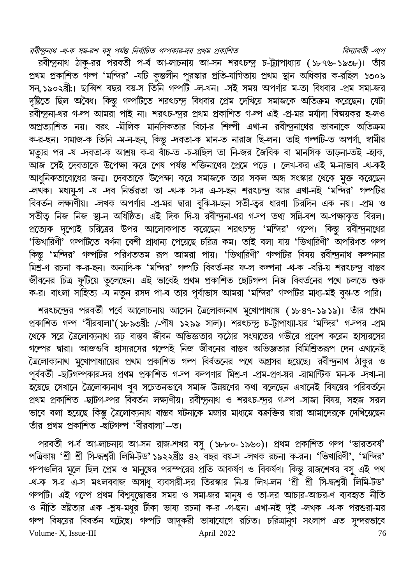রবীন্দ্রনাথ -থ-ক সম-রশ বসু পর্যন্ত নির্বাচিত গল্পকার-দর প্রথম প্রকাশিত বিদ্যাবতী -গাপ রবীন্দ্রনাথ ঠাকু-রর পরবর্তী প-র্ব আ-লাচনায় আ-সন শরৎচন্দ্র চ-ট্যাপাধ্যায় (১৮৭৬-১৯৩৮)। তাঁর

প্রথম প্রকাশিত গল্প 'মন্দির' -যটি কুন্তলীন পুরস্কার প্রতি-যাগিতায় প্রথম স্থান অধিকার ক-রছিল ১৩০৯ সন, ১৯০২খ্রী:। ছাব্বিশ বছর বয়-স তিনি গল্পটি -ল-খন। -সই সময় অপর্ণার ম-তা বিধবার -প্রম সমা-জর দৃষ্টিতে ছিল অবৈধ। কিন্তু গল্পটিতে শরৎচন্দ্র বিধবার প্রেম দেখিয়ে সমাজকে অতিক্রম করেছেন। যেটা রবীন্দ্রনা-থর গ-ল্প আমরা পাই না। শরৎচ-ন্দুর প্রথম প্রকাশিত গ-ল্প এই -প্র-মর মর্যাদা বিষ্ময়কর হ-লও ্য নালী ।<br>অপ্রত্যাশিত নয়। বরং -মালিক মানসিকতার বিচা-র শিল্পী এখা-ন রবীন্দ্রনাথের ভাবনাকে অতিক্রম ক-র-ছন। সমাজ-ক তিনি -ম-ন-ছন, কিন্তু -দবতা-ক মান-ত নারাজ ছি-লন। তাই গল্পটি-ত অপর্ণা, স্বামীর মত্যুর পর -য -দবতা-ক আশ্রয় ক-র বাঁচ-ত -চ-য়ছিল তা নি-জর জৈবিক বা মানসিক তাড়না-তহ -হাক, আজ সেই দেবতাকে উপেক্ষা করে শেষ পর্যন্ত শক্তিনাথের প্রেমে পড়ে । লেখ-কর এই ম-নাভাব -থ-কই আধুনিকতাবোধের জন্ম। দেবতাকে উপেক্ষা করে সমাজকে তার সকল অন্ধ সংস্কার থেকে মুক্ত করেছেন -লখক। মধ্যযু-গ -য -দব নির্ভরতা তা -থ-ক স-র এ-স-ছন শরৎচন্দু আর এখা-নই 'মন্দির' গল্পটির বিবর্তন লক্ষ্যণীয়। –লখক অপর্ণার -প্র-মর দ্বারা বুঝি-য়-ছন সতী-তুর ধারণা চিরদিন এক নয়। -প্রম ও নিকিতা<br>সতীত্ব নিজ নিজ স্থা-ন অধিষ্ঠিত। এই দিক দি-য় রবীন্দ্রনা-থর গ-ল্প তথ্য সন্নি-বশ অ-পক্ষাকৃত বিরল। প্রত্যেক দৃশ্যেই চরিত্রের উপর আলোকপাত করেছেন শরৎচন্দ্র 'মন্দির' গল্পে। কিন্তু রবীন্দ্রনাথের<br>'ভিখারিণী' গল্পটিতে বর্ণনা বেশী প্রাধান্য পেয়েছে চরিত্র কম। তাই বলা যায় 'ভিখারিণী' অপরিণত গল্প কিন্তু 'মন্দির' গল্পটির পরিণততম রূপ আমরা পায়। 'ভিখারিণী' গল্পটির বিষয় রবীন্দুনাথ কল্পনার ়িত্র<br>মিশ্র-ণ রচনা ক-র-ছন। অন্যদি-ক 'মন্দির' গল্পটি বিবর্ত-নর ফ-ল কল্পনা -থ-ক -বরি-য় শরৎচন্দ্র বাস্তব .<br>জীবনের চিত্র ফুটিয়ে তুলেছেন। এই ভাবেই প্রথম প্রকাশিত ছোটগল্প নিজ বিবর্তনের পথে চলতে শুরু ক-র। বাংলা সাহিত্য -য নতুন রসদ পা-ব তার পূর্বাভাস আমরা 'মন্দির' গল্পটির মাধ্য-মই বুঝ-ত পারি।

শরৎচন্দ্রের পরবর্তী পর্বে আলোচনায় আসেন ত্রৈলোক্যনাথ মুখোপাধ্যায় (১৮৪৭-১৯১৯)। তাঁর প্রথম প্রকাশিত গল্প 'বীরবালা'(১৮৯৩খ্রী: /-পীষ ১২৯৯ সাল)। শরৎচন্দূ চ-ট্টাপাধ্যা-য়র 'মন্দির' গ-ল্পর -প্রম থেকে সরে ত্রৈলোক্যনাথ রূঢ় বাস্তব জীবন অভিজ্ঞতার কঠোর সংঘাতের গভীরে প্রবেশ করেন হাস্যরসের গল্পের দ্বারা। আজগুবি হাস্যরসের গল্পেই নিজ জীবনের বাস্তব অভিজ্ঞতার বিমিশ্রিতরূপ দেন এখানেই ,<br>ত্রলোক্যনাথ মুখোপাধ্যায়ের প্রথম প্রকাশিত গল্প বির্বতনের পথে অগ্রসর হয়েছে। রবীন্দ্রনাথ ঠাকুর ও পূর্ববর্তী -ছাটগল্পকার-দর প্রথম প্রকাশিত গ-লপ কল্পণার মিশ্র-ণ -প্রম-প্রণ-য়র -রামান্টিক মন-ক -দখা-না .<br>হয়েছে সেখানে ত্রৈলোক্যনাথ খুব সচেতনভাবে সমাজ উন্নয়ণের কথা বলেছেন এখানেই বিষয়ের পরিবর্তনে প্রথম প্রকাশিত -ছাটগ-ল্পর বিবর্তন লক্ষ্যণীয়। রবীন্দুনাথ ও শরৎচ-ন্দুর গ-ল্প -সাজা বিষয়, সহজ সরল ভাবে বলা হয়েছে কিন্তু ত্রৈলোক্যনাথ বাস্তব ঘটনাকে মজার মাধ্যমে বক্রক্তির দ্বারা আমাদেরকে দেখিয়েছেন তাঁর প্রথম প্রকাশিত -ছাটগন্প 'বীরবালা'--ত।

পরবর্তী প-র্ব আ-লাচনায় আ-সন রাজ-শখর বসু (১৮৮০-১৯৬০)। প্রথম প্রকাশিত গল্প 'ভারতবর্ষ' পত্রিকায় 'শ্রী শ্রী সি-দ্ধশ্বরী লিমি-টড'১৯২২খ্রীঃ ৪২ বছর বয়-স -লখক রচনা ক-রন। 'ভিখারিণী', 'মন্দির' গল্পগুলির মূলে ছিল প্রেম ও মানুষের পরস্পরের প্রতি আকর্ষণ ও বিকর্ষণ। কিন্তু রাজশেখর বসু এই পথ -থ-ক স-র এ-স মৎলববাজ অসাধু ব্যবসায়ী-দর তিরস্কার নি-য় লিখ-লন 'শ্রী শ্রী সি-দ্ধশ্বরী লিমি-টড' গল্পটি। এই গল্পে প্রথম বিশুযুদ্ধোত্তর সময় ও সমা-জর মানুষ ও তা-দর আচার-আচর-ণ ব্যবহৃত নীতি ও নীতি ভ্রষ্টতার এক -শ্লষ-মধুর টীকা ভাষ্য রচনা ক-র -গ-ছন। এখা-নই দুই -লখক -থ-ক পরশুরা-মর গল্প বিষয়ের বিবর্তন ঘটেছে। গল্পটি জাদুকরী ভাষাযোগে রচিত। চরিত্রানুগ সংলাপ এত সুন্দরভাবে Volume-X, Issue-III April 2022 76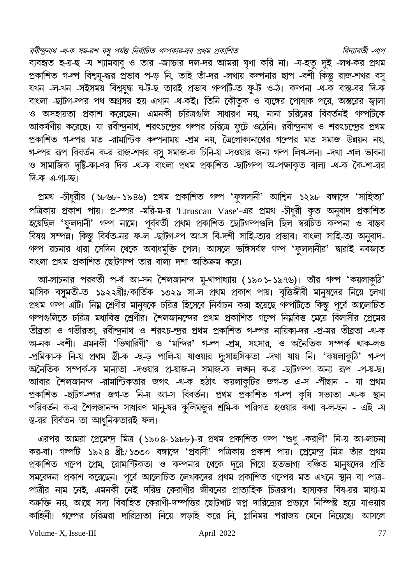রবীন্দ্রনাথ -থ-ক সম-রশ বসু পর্যন্ত নির্বাচিত গল্পকার-দর প্রথম প্রকাশিত বিদ্যাবতী -গাপ ব্যবহৃত হ-য়-ছ -য শ্যামবাবু ও তার -জাচ্চার দল-দর আমরা ঘৃণা করি না। -য-হতু দুই -লখ-কর প্রথম প্রকাশিত গ-ল্প বিশ্বযু-দ্ধর প্রভাব প-ড় নি, তাই তাঁ-দর -লখায় কল্পনার ছাপ -বশী কিন্তু রাজ-শখর বসু যখন -ল-খন -সইসময় বিশ্বযুদ্ধ ঘ-ট-ছ তারই প্রভাব গল্পটি-ত ফু-ট ও-ঠ। কল্পনা -থ-ক বাস্ত-বর দি-ক বাংলা -ছাটগ-ল্পর পথ অগ্রসর হয় এখান -থ-কই। তিনি কৌতুক ও ব্যঙ্গের পোষাক পরে, অন্তরের জ্বালা ও অসহায়তা প্রকাশ করেছেন। এমনকী চরিত্রগুলি সাধারণ নয়, নানা চরিত্রের বিবর্তনই গল্পটিকে আকর্ষণীয় করেছে। যা রবীন্দ্রনাথ, শরৎচন্দ্রের গল্পর চরিত্রে ফুটে ওঠেনি। রবীন্দ্রনাথ ও শরৎচন্দ্রের প্রথম প্রকাশিত গ<sup>্রু</sup>পর মত -রামান্টিক কল্পনাময় -প্রম নয়, ত্রৈলোক্যনাথের গল্পের মত সমাজ উন্নয়ন নয়, গ-ল্পর রূপ বিবর্তন ক-র রাজ-শখর বসু সমাজ-ক চিনি-য় -দওয়ার জন্য গল্প লিখ-লন। -দখা -গল ভাবনা ও সামাজিক দৃষ্টি-কা-ণর দিক -থ-ক বাৎলা প্রথম প্রকাশিত -ছাটগল্প অ-পক্ষাকৃত বাল্য -থ-ক কৈ-শা-রর ।<br>দি-ক এ-গা-চ্ছ।

প্রমথ -চীধুরীর (১৮৬৮-১৯৪৬) প্রথম প্রকাশিত গল্প 'ফুলদানী' আশ্বিন ১২৯৮ বঙ্গাব্দে 'সাহিত্য' পত্রিকায় প্রকাশ পায়। প্র-স্পর -মরি-ম-র 'Etruscan Vase'-এর প্রমথ -চৗধুরী কৃত অনুবাদ প্রকাশিত হয়েছিল 'ফুলদানী' গল্প নামে। পূৰ্ববৰ্তী প্ৰথম প্ৰকাশিত ছোটগল্পগুলি ছিল স্বর্নচত কল্পনা ও বাস্তব বিষয় সম্পন। কিন্তু বিৰ্বত-নর ফ-ল -ছাটগ-ল্প আ-স বি-দশী সাহি-ত্যর প্রভাব। বাংলা সাহি-ত্য অনুবাদ-গল্প রচনার ধারা সেদিন থেকে অবাধমুক্তি পেল। আসলে ভঙ্গিসর্বস্ব গল্প 'ফুলদানীর' দ্বারাই নবজাত বাংলা প্রথম প্রকাশিত ছোটগল্প তার বাল্য দশা অতিক্রম করে।

আ-লাচনার পরবর্তী প-র্ব আ-সন শৈলজানন্দ মু-খাপাধ্যায় (১৯০১-১৯৭৬)। তাঁর গল্প 'কয়লাকুঠি' মাসিক বসুমতী-ত ১৯২২খ্রীঃ/কার্তিক ১৩২৯ সা-ল প্রথম প্রকাশ পায়। বৃত্তিজীবী মানুষদের নিয়ে লেখা প্রথম গল্প এটি। নিয় শ্রেণীর মানুষকে চরিত্র হিসেবে নির্বাচন করা হয়েছে গল্পটিতে কিন্তু পূর্বে আলোচিত গল্পগুলিতে চরিত্র মধ্যবিত্ত শ্রেণীর। শৈলজানন্দের প্রথম প্রকাশিত গল্পে নিম্নবিত্ত মেয়ে বিলাসীর প্রেমের তীব্রতা ও গভীরতা, রবীন্দুনাথ ও শরৎচ-ন্দুর প্রথম প্রকাশিত গ-ল্পর নায়িকা-দর -প্র-মর তীব্রতা -থ-ক অ-নক -বশী। এমনকী 'ভিখারিণী' ও 'মন্দির' গ-ল্প -প্রম, সংসার, ও অনৈতিক সম্পর্ক থাক-লও -প্রমিকা-ক নি-য় প্রথম স্ত্রী-ক -ছ-ড় পালি-য় যাওয়ার দু:সাহসিকতা -দখা যায় নি। 'কয়লাকুঠি' গ-ল্প অনৈতিক সম্পৰ্ক-ক মান্যতা -দওয়ার প্র-য়াজ-ন সমাজ-ক লঙ্ঘন ক-র -ছাটগল্প অন্য রূপ -প-য়-ছ। আবার শৈলজানন্দ -রামান্টিকতার জগৎ -থ-ক হঠাৎ কয়লাকুটির জগ-ত এ-স -পীছান - যা প্রথম প্রকাশিত -ছাটগ-ল্পর জগ-ত নি-য় আ-স বিবর্তন। প্রথম প্রকাশিত গ-ল্প কৃষি সভ্যতা -থ-ক স্থান পরিবর্তন ক-র শৈলজানন্দ সাধারণ মানু-ষর কুলিমজুর শ্রমি-ক পরিণত হওয়ার কথা ব-ল-ছন - এই -য স্ত-রর বির্বতন তা আধুনিকতারই ফল।

এরপর আমরা প্রেমেন্দু মিত্র (১৯০৪-১৯৮৮)-র প্রথম প্রকাশিত গল্প 'শুধু -করাণী' নি-য় আ-লাচনা কর-বা। গল্পটি ১৯২৪ খ্রী:/১৩৩০ বঙ্গাব্দে 'প্রবাসী' পত্রিকায় প্রকাশ পায়। প্রেমেন্দু মিত্র তাঁর প্রথম প্রকাশিত গল্পে প্রেম, রোমান্টিকতা ও কল্পনার থেকে দূরে গিয়ে হতভাগ্য বঞ্চিত মানুষদের প্রতি সমবেদনা প্রকাশ করেছেন। পূর্বে আলোচিত লেখকদের প্রথম প্রকাশিত গল্পের মত এখনে স্থান বা পাত্র-পাত্রীর নাম নেই, এমনকী নেই দরিদ্র কেরাণীর জীবনের প্রাত্যহিক চিত্ররূপ। হাস্যকর বিষ-য়র মাধ্য-ম বক্রক্তি নয়, আছে সদ্য বিবাহিত কেরাণী-দম্পত্তির ছোটখাট স্বপ্ন দারিদ্র্যের প্রভাবে নিস্পিষ্ট হয়ে যাওয়ার কাহিনী। গল্পের চরিত্ররা দারিদ্র্যতা নিয়ে লড়াই করে নি, গ্লানিময় পরাজয় মেনে নিয়েছে। আসলে

Volume-X, Issue-III

April 2022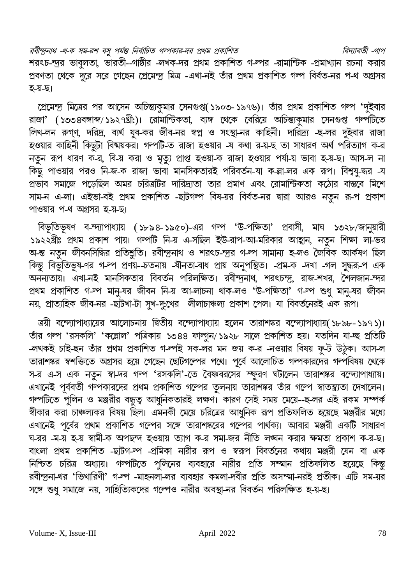রবীন্দ্রনাথ -থ-ক সম-রশ বসু পর্যন্ত নির্বাচিত গল্পকার-দর প্রথম প্রকাশিত বিদ্যাবতী -গাপ শরৎচ-ন্দুর ভাবুলতা, ভারতী--গাষ্ঠীর -লখক-দর প্রথম প্রকাশিত গ-ল্পর -রামান্টিক -প্রমাখ্যান রচনা করার প্রবণতা থেকে দূরে সরে গেছেন প্রেমেন্দু মিত্র -এখা-নই তাঁর প্রথম প্রকাশিত গল্প বির্বত-নর প-থ অগ্রসর হ-য়-ছ।

প্রেমেন্দ্র মিত্রের পর আসেন অচিন্ত্যকুমার সেনগুপ্ত(১৯০৩-১৯৭৬)। তাঁর প্রথম প্রকাশিত গল্প 'দুইবার রাজা' (১৩৩৪বঙ্গাব্দ/১৯২৭খ্রী:)। রোমান্টিকতা, ব্যক্ষ থেকে বেরিয়ে অচিন্ত্যকুমার সেনগুপ্ত গর্ল্পটিতে লিখ-লন রুগ্ণ, দরিদ্র, ব্যর্থ যুব-কর জীব-নর স্বপ্ন ও সংস্থা-নর কাহিনী। দারিদ্র্য -ছ-লর দুইবার রাজা হওয়ার কাহিনী কিছুটা বিষ্মর্কর। গল্পটি-ত রাজা হওয়ার -য কথা র-য়-ছ তা সাধারণ অর্থ পরিত্যাগ ক-র নতুন রূপ ধারণ ক-র, বি-য় করা ও মৃত্যু প্রাপ্ত হওয়া-ক রাজা হওয়ার পর্যা-য় ভাবা হ-য়-ছ। আস-ল না াই<br>কিছু পাওয়ার পরও নি-জ-ক রাজা ভাবা মানসিকতারই পরিবর্তন-যা ক-ল্লা-লর এক রূপ। বিশ্বযু-দ্ধর -য প্রভাব সমাজে পড়েছিল অমর চরিত্রটির দারিদ্র্যতা তার প্রমাণ এবং রোমান্টিকতা কঠোর বাস্তরে মিশে সাম-ন এ-লা। এইভা-বই প্রথম প্রকাশিত -ছাটগল্প বিষ-য়র বির্বত-নর দ্বারা আরও নতুন রূ-প প্রকাশ পাওয়ার প-থ অগ্রসর হ-য়-ছ।

বিভূতিভূষণ ব-ন্দ্যাপাধ্যায় (১৮৯৪-১৯৫০)-এর গল্প 'উ-পক্ষিতা' প্রবাসী, মাঘ ১৩২৮/জানুয়ারী ১৯২২খ্রীঃ প্রথম প্রকাশ পায়। গলপটি নি-য় এ-সছিল ইউ-রাপ-আ-মরিকার আহ্বান, নতুন শিক্ষা লা-ভর অ-ন্ত নতুন জীবনসিদ্ধির প্রতিশ্লুতি। রবীন্দ্রনাথ ও শরৎচ-ন্দূর গ-ল্প সামান্য হ-লও জৈবিক আর্কষণ ছিল কিন্তু বিভূতিভূষ-ণর গ-ল্প প্রণয়--চতনায় -যানতা-বাধ প্রায় অনুপস্থিত। -প্রম-ক -দখা -গল সুদ্ধর-প এক অনন্যতায়। এখা-নই মানসিকতার বিবর্তন পরিলক্ষিত। রবীন্দ্রনাথ, শরৎচন্দ্র, রাজ-শখর, শৈলজান-ন্দর প্রথম প্রকাশিত গ-ল্প মানু-ষর জীবন নি-য় আ-লাচনা থাক-লও 'উ-পক্ষিতা' গ-ল্প শুধু মানু-ষর জীবন নয়, প্রাত্যহিক জীব-নর -ছাটখা-টা সুখ-দু:খের লীলাচাঞ্চল্য প্রকাশ পেল। যা বিবর্তনেরই এক রূপ।

ত্রয়ী বন্দ্যোপাধ্যায়ের আলোচনায় দ্বিতীয় বন্দ্যোপাধ্যায় হলেন তারাশঙ্কর বন্দ্যোপাধ্যায়(১৮৯৮-১৯৭১)। তাঁর গন্প 'রসকলি' 'কল্লোল' পত্রিকায় ১৩৪৪ ফাল্গুন/১৯২৮ সালে প্রকাশিত হয়। যতদিন যা-চ্ছ প্রতিটি -লখকই চাই-ছন তাঁর প্রথম প্রকাশিত গ-ল্পই সক-লর মন জয় ক-র -নওয়ার বিষয় ফু-ট উঠুক। আস-ল তারাশঙ্কর স্বশক্তিতে অগ্রসর হয়ে গেছেন ছোটগল্পের পথে। পূর্বে আলোচিত গন্পকারদের গর্ন্সবিষয় থেকে স-র এ-স এক নতুন স্বা-দর গল্প 'রসকলি'-তে বৈষ্ণবরসের স্ফুরণ ঘটালেন তারাশঙ্কর বন্দ্যোপাধ্যায়। এখানেই পূর্ববর্তী গল্পকারদের প্রথম প্রকাশিত গল্পের তুলনায় তারাশঙ্কর তাঁর গল্পে স্বাতন্ত্র্যতা দেখালেন।<br>গল্পটিতে পুলিন ও মঞ্জরীর বন্ধুত্ব আধুনিকতারই লক্ষণ। কারণ সেই সময় মেয়ে--ছ-লর এই রকম সম্পর্ক স্বীকার করা চাঞ্চল্যকর বিষয় ছিল। এমনকী মেয়ে চরিত্রের আধুনিক রূপ প্রতিফলিত হয়েছে মঞ্জরীর মধ্যে এখানেই পূর্বের প্রথম প্রকাশিত গল্পের সঙ্গে তারাশঙ্করের গল্পের পার্থক্য। আবার মঞ্জরী একটি সাধারণ ঘ-রর -ম-য় হ-য় স্বামী-ক অপছন্দ হওয়ায় ত্যাগ ক-র সমা-জর নীতি লঙ্ঘন করার ক্ষমতা প্রকাশ ক-র-ছ। বাংলা প্রথম প্রকাশিত -ছাটগ-ল্প -প্রমিকা নারীর রূপ ও স্বরূপ বিবর্তনের কথায় মঞ্জরী যেন বা এক নিশ্চিত চরিত্র অধ্যায়। গল্পটিতে পুলিনের ব্যবহারে নারীর প্রতি সম্মান প্রতিফলিত হয়েছে কিন্তু রবীন্দ্রনা-থর 'ভিখারিণী' গ-ল্প -মাহনলা-লর ব্যবহার কমলা-দবীর প্রতি অসম্মা-নরই প্রতীক। এটি সম-য়র সঙ্গে শুধু সমাজে নয়, সাহিত্যিকদের গল্পেও নারীর অবস্থা-নর বিবর্তন পরিলক্ষিত হ-য়-ছ।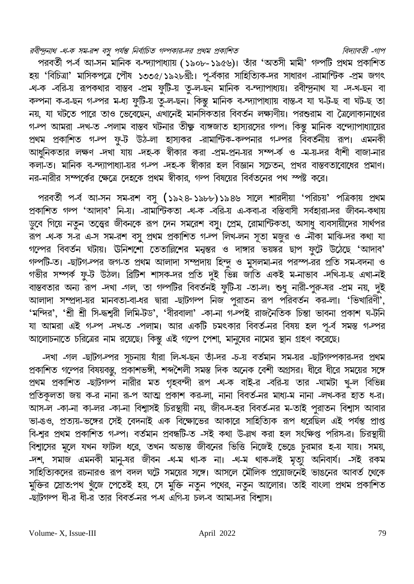#### রবীন্দ্রনাথ -থ-ক সম-রশ বসু পর্যন্ত নির্বাচিত গল্পকার-দর প্রথম প্রকাশিত বিদ্যাবতী -গাপ

পরবর্তী প-র্ব আ-সন মানিক ব-ন্দ্যাপাধ্যায় (১৯০৮-১৯৫৬)। তাঁর 'অতসী মামী' গল্পটি প্রথম প্রকাশিত হয় 'বিচিত্রা' মাসিকপত্রে পৌষ ১৩৩৫/১৯২৮খ্রী:। পূ-র্বকার সাহিত্যিক-দর সাধারণ -রামান্টিক -প্রম জগৎ -থ-ক -বরি-য় রূপকথার বাস্তব -প্রম ফুটি-য় তু-ল-ছন মানিক ব-ন্দ্যাপাধ্যয়। রবীন্দ্রনাথ যা -দ-খ-ছন বা কল্পনা ক-র-ছন গ-ল্পর ম-ধ্য ফুটি-য় তু-ল-ছন। কিন্তু মানিক ব-ন্দ্যাপাধ্যায় বাস্ত-ব যা ঘ-ট-ছ বা ঘট-ছ তা নয়, যা ঘটতে পারে তাও ভেবেছেন, এখানেই মানসিকতার বিবর্তন লক্ষ্যণীয়। পরশুরাম বা ত্রৈলোক্যনাথের গ-ল আমরা -দখ-ত -পলাম বাস্তব ঘটনার তীক্ষ্ণ ব্যঙ্গজাত হাস্যরসের গল্প। কিন্তু মানিক বন্দ্যোপাধ্যায়ের প্রথম প্রকাশিত গ-ল্প ফু-ট উঠ-লা হাস্যকর -রামান্টিক-কল্পনার গ-ল্পর বিবর্তনীয় রূপ। এমনকী আধুনিকতার লক্ষণ -দখা যায় -দহ-ক স্বীকার করা -প্রম-প্রন-য়র সম্প-র্ক ও -ম-য়-দর বাঁশী বাজা-নার কলা-ত। মানিক ব-ন্দ্যাপাধ্যা-য়র গ-ল্প -দহ-ক স্বীকার হল বিজ্ঞান সচেতন, প্রখর বাস্তবতাবোধের প্রমাণ। নর-নারীর সম্পর্কের ক্ষেত্রে দেহকে প্রথম স্বীকার, গল্প বিষয়ের বির্বতনের পথ স্পষ্ট করে।

পরবর্তী প-র্ব আ-সন সম-রশ বসু (১৯২৪-১৯৮৮)১৯৪৬ সালে শারদীয়া 'পরিচয়' পত্রিকায় প্রথম প্রকাশিত গল্প 'আদাব' নি-য়। -রামান্টিকতা -থ-ক -বরি-য় এ-কবা-র বস্তিবাসী সর্বহারা-দর জীবন-কথায় ডুবে গিয়ে নতুন তত্ত্বের জীবনকে রূপ দেন সমরেশ বসু। প্রেম, রোমান্টিকতা, অসাধু ব্যবসায়ীদের সার্থপর ক্রপ -থ-ক স-র এ-স সম-রশ বসু প্রথম প্রকাশিত গ-ল্প লিখ-লন সূতা মজুর ও -নীকা মাঝি-দর কথা যা গল্পের বিবর্তন ঘটায়। ঊনিশশো তেতাল্লিশের মন্বন্তর ও দাঙ্গার ভয়ষ্কর ছাপ ফুটে উঠেছে 'আদাব' গল্পটি-ত। -ছাটগ-ল্পর জগ-ত প্রথম আলাদা সম্প্রদায় হিন্দু ও মুসলমা-নর পরস্প-রর প্রতি সম-বদনা ও গভীর সম্পর্ক ফু-ট উঠল। ব্রিটিশ শাসক-দর প্রতি দুই ভিন্ন জাতি একই ম-নাভাব -দখি-য়-ছ এখা-নই বাস্তবতার অন্য রূপ -দখা -গল, তা গল্পটির বিবর্তনই ফুটি-য় -তা-ল। শুধু নারী-পুরু-ষর -প্রম নয়, দুই আলাদা সম্প্রদা-য়র মানবতা-বা-ধর দ্বারা -ছাটগল্প নিজ পুরাতন রূপ পরিবর্তন কর-লা। 'ভিখারিণী', 'মন্দির', 'শ্রী শ্রী সি-দ্ধশ্বরী লিমি-টড', 'বীরবালা' -কা-না গ-ল্পই রাজনৈতিক চিন্তা ভাবনা প্রকাশ ঘ-টনি যা আমরা এই গ-ল্প -দখ-ত -পলাম। আর একটি চমৎকার বিবর্ত-নর বিষয় হল পূ-র্ব সমস্ত গ-ল্পর আলোচনাতে চরিত্রের নাম রয়েছে। কিন্তু এই গল্পে পেশা, মানুষের নামের স্থান গ্রহণ করেছে।

-দখা -গল -ছাটগ-ল্পর সূচনায় যাঁরা লি-খ-ছন তাঁ-দর -চ-য় বর্তমান সম-য়র -ছাটগল্পকার-দর প্রথম প্রকাশিত গল্পের বিষয়বস্তু, প্রকাশভঙ্গী, শব্দশৈলী সমস্ত দিক অনেক বেশী অগ্রসর। ধীরে ধীরে সময়ের সঙ্গে প্রথম প্রকাশিত -ছাটগর্ল্প নারীর মত গৃহবন্দী রূপ -থ-ক বাই-র -বরি-য় তার -ঘামটা খু-ল বিভিন্ন প্রতিকূলতা জয় ক-র নানা রূ-প আত্ম প্রকাশ কর-লা, নানা বিবর্ত-নর মাধ্য-ম নানা -লখ-কর হাত ধ-র। আস-ল -কা-না কা-লর -কা-না বিশ্বাসই চিরস্থায়ী নয়, জীব-দ-হর বিবর্ত-নর ম-তাই পুরাতন বিশ্বাস আবার ভা-ঙও, প্রত্যয়-ভঙ্গের সেই বেদনাই এক বিক্ষোভের আকারে সাহিত্যিক রূপ ধরেছিল এই পর্যন্ত প্রাপ্ত বি-শুর প্রথম প্রকাশিত গ-ল্প। বর্তমান প্রবন্ধটি-ত -সই কথা উ-ল্লখ করা হল সংক্ষিপ্ত পরিস-র। চিরস্থায়ী বিশ্বাসের মূলে যখন ফাটল ধরে, তখন অভ্যস্ত জীবনের ভিত্তি নিজেই ভেঙে চুরমার হ-য় যায়। সময়, -দশ, সমাজ এমনকী মানু-ষর জীবন -থ-ম থা-ক না। -থ-ম থাক-লই মৃত্যু অনিবার্য। -সই রকম সাহিত্যিকদের রচনারও রূপ বদল ঘটে সময়ের সঙ্গে। আসলে মৌলিক প্রয়োজনেই ভাঙনের আবর্ত থেকে মুক্তির স্রোত:পথ খুঁজে পেতেই হয়, সে মুক্তি নতুন পথের, নতুন আলোর। তাই বাংলা প্রথম প্রকাশিত -ইটগৰ্ন্প ধী-র ধী-র তার বিবর্ত-নর প-থ এগি-য় চল-ব আমা-দর বিশাস।